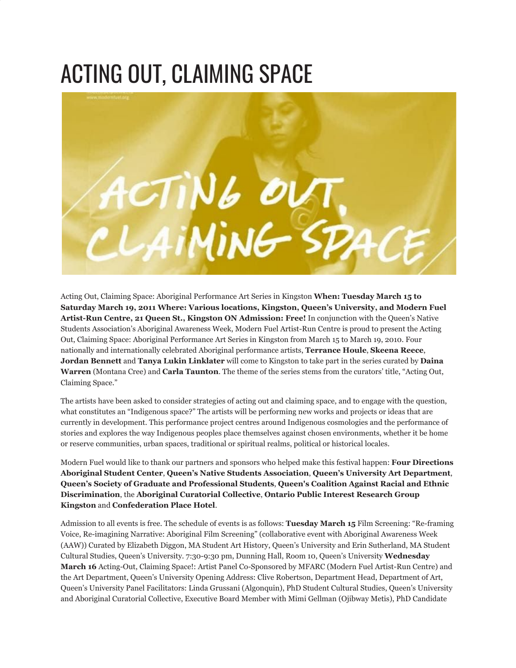## ACTING OUT, CLAIMING SPACE



Acting Out, Claiming Space: Aboriginal Performance Art Series in Kingston **When: Tuesday March 15 to Saturday March 19, 2011 Where: Various locations, Kingston, Queen's University, and Modern Fuel Artist-Run Centre, 21 Queen St., Kingston ON Admission: Free!** In conjunction with the Queen's Native Students Association's Aboriginal Awareness Week, Modern Fuel Artist-Run Centre is proud to present the Acting Out, Claiming Space: Aboriginal Performance Art Series in Kingston from March 15 to March 19, 2010. Four nationally and internationally celebrated Aboriginal performance artists, **Terrance Houle**, **Skeena Reece**, **Jordan Bennett** and **Tanya Lukin Linklater** will come to Kingston to take part in the series curated by **Daina Warren** (Montana Cree) and **Carla Taunton**. The theme of the series stems from the curators' title, "Acting Out, Claiming Space."

The artists have been asked to consider strategies of acting out and claiming space, and to engage with the question, what constitutes an "Indigenous space?" The artists will be performing new works and projects or ideas that are currently in development. This performance project centres around Indigenous cosmologies and the performance of stories and explores the way Indigenous peoples place themselves against chosen environments, whether it be home or reserve communities, urban spaces, traditional or spiritual realms, political or historical locales.

Modern Fuel would like to thank our partners and sponsors who helped make this festival happen: **Four Directions Aboriginal Student Center**, **Queen's Native Students Association**, **Queen's University Art Department**, **Queen's Society of Graduate and Professional Students**, **Queen's Coalition Against Racial and Ethnic Discrimination**, the **Aboriginal Curatorial Collective**, **Ontario Public Interest Research Group Kingston** and **Confederation Place Hotel**.

Admission to all events is free. The schedule of events is as follows: **Tuesday March 15** Film Screening: "Re-framing Voice, Re-imagining Narrative: Aboriginal Film Screening" (collaborative event with Aboriginal Awareness Week (AAW)) Curated by Elizabeth Diggon, MA Student Art History, Queen's University and Erin Sutherland, MA Student Cultural Studies, Queen's University. 7:30-9:30 pm, Dunning Hall, Room 10, Queen's University **Wednesday March 16** Acting-Out, Claiming Space!: Artist Panel Co-Sponsored by MFARC (Modern Fuel Artist-Run Centre) and the Art Department, Queen's University Opening Address: Clive Robertson, Department Head, Department of Art, Queen's University Panel Facilitators: Linda Grussani (Algonquin), PhD Student Cultural Studies, Queen's University and Aboriginal Curatorial Collective, Executive Board Member with Mimi Gellman (Ojibway Metis), PhD Candidate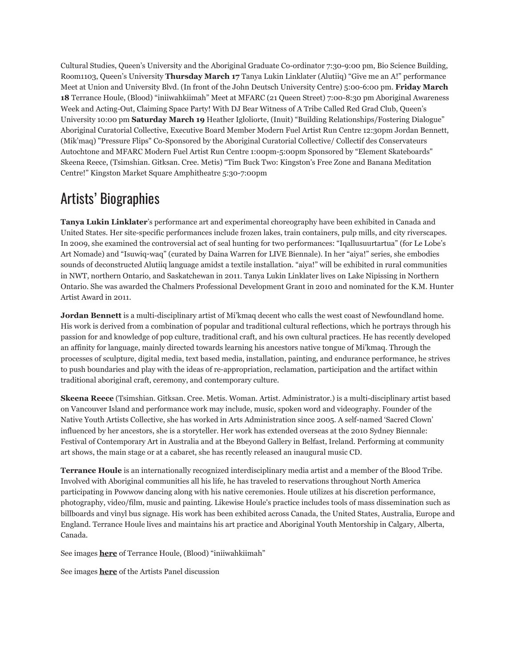Cultural Studies, Queen's University and the Aboriginal Graduate Co-ordinator 7:30-9:00 pm, Bio Science Building, Room1103, Queen's University **Thursday March 17** Tanya Lukin Linklater (Alutiiq) "Give me an A!" performance Meet at Union and University Blvd. (In front of the John Deutsch University Centre) 5:00-6:00 pm. **Friday March 18** Terrance Houle, (Blood) "iniiwahkiimah" Meet at MFARC (21 Queen Street) 7:00-8:30 pm Aboriginal Awareness Week and Acting-Out, Claiming Space Party! With DJ Bear Witness of A Tribe Called Red Grad Club, Queen's University 10:00 pm **Saturday March 19** Heather Igloliorte, (Inuit) "Building Relationships/Fostering Dialogue" Aboriginal Curatorial Collective, Executive Board Member Modern Fuel Artist Run Centre 12:30pm Jordan Bennett, (Mik'maq) "Pressure Flips" Co-Sponsored by the Aboriginal Curatorial Collective/ Collectif des Conservateurs Autochtone and MFARC Modern Fuel Artist Run Centre 1:00pm-5:00pm Sponsored by "Element Skateboards" Skeena Reece, (Tsimshian. Gitksan. Cree. Metis) "Tim Buck Two: Kingston's Free Zone and Banana Meditation Centre!" Kingston Market Square Amphitheatre 5:30-7:00pm

## Artists' Biographies

**Tanya Lukin Linklater**'s performance art and experimental choreography have been exhibited in Canada and United States. Her site-specific performances include frozen lakes, train containers, pulp mills, and city riverscapes. In 2009, she examined the controversial act of seal hunting for two performances: "Iqallusuurtartua" (for Le Lobe's Art Nomade) and "Isuwiq-waq" (curated by Daina Warren for LIVE Biennale). In her "aiya!" series, she embodies sounds of deconstructed Alutiiq language amidst a textile installation. "aiya!" will be exhibited in rural communities in NWT, northern Ontario, and Saskatchewan in 2011. Tanya Lukin Linklater lives on Lake Nipissing in Northern Ontario. She was awarded the Chalmers Professional Development Grant in 2010 and nominated for the K.M. Hunter Artist Award in 2011.

**Jordan Bennett** is a multi-disciplinary artist of Mi'kmaq decent who calls the west coast of Newfoundland home. His work is derived from a combination of popular and traditional cultural reflections, which he portrays through his passion for and knowledge of pop culture, traditional craft, and his own cultural practices. He has recently developed an affinity for language, mainly directed towards learning his ancestors native tongue of Mi'kmaq. Through the processes of sculpture, digital media, text based media, installation, painting, and endurance performance, he strives to push boundaries and play with the ideas of re-appropriation, reclamation, participation and the artifact within traditional aboriginal craft, ceremony, and contemporary culture.

**Skeena Reece** (Tsimshian. Gitksan. Cree. Metis. Woman. Artist. Administrator.) is a multi-disciplinary artist based on Vancouver Island and performance work may include, music, spoken word and videography. Founder of the Native Youth Artists Collective, she has worked in Arts Administration since 2005. A self-named 'Sacred Clown' influenced by her ancestors, she is a storyteller. Her work has extended overseas at the 2010 Sydney Biennale: Festival of Contemporary Art in Australia and at the Bbeyond Gallery in Belfast, Ireland. Performing at community art shows, the main stage or at a cabaret, she has recently released an inaugural music CD.

**Terrance Houle** is an internationally recognized interdisciplinary media artist and a member of the Blood Tribe. Involved with Aboriginal communities all his life, he has traveled to reservations throughout North America participating in Powwow dancing along with his native ceremonies. Houle utilizes at his discretion performance, photography, video/film, music and painting. Likewise Houle's practice includes tools of mass dissemination such as billboards and vinyl bus signage. His work has been exhibited across Canada, the United States, Australia, Europe and England. Terrance Houle lives and maintains his art practice and Aboriginal Youth Mentorship in Calgary, Alberta, Canada.

See images **[here](http://www.flickr.com/photos/modernfuel/sets/72157627015504488/)** of Terrance Houle, (Blood) "iniiwahkiimah"

See images **[here](http://www.flickr.com/photos/modernfuel/sets/72157626891108493/)** of the Artists Panel discussion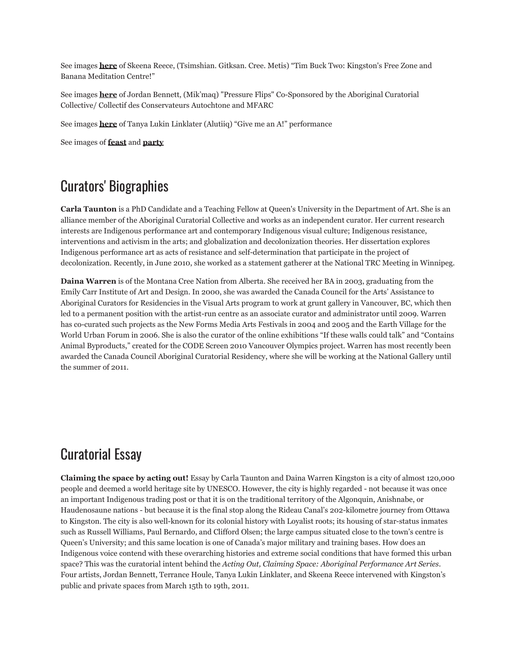See images **[here](http://www.flickr.com/photos/modernfuel/sets/72157626891281675/)** of Skeena Reece, (Tsimshian. Gitksan. Cree. Metis) "Tim Buck Two: Kingston's Free Zone and Banana Meditation Centre!"

See images **[here](http://www.flickr.com/photos/modernfuel/sets/72157626891148603/)** of Jordan Bennett, (Mik'maq) "Pressure Flips" Co-Sponsored by the Aboriginal Curatorial Collective/ Collectif des Conservateurs Autochtone and MFARC

See images **[here](http://www.flickr.com/photos/modernfuel/sets/72157627015390530/)** of Tanya Lukin Linklater (Alutiiq) "Give me an A!" performance

See images of **[feast](http://www.flickr.com/photos/modernfuel/sets/72157626890775437/)** and **[party](http://www.flickr.com/photos/modernfuel/sets/72157626890890799/)**

## Curators' Biographies

**Carla Taunton** is a PhD Candidate and a Teaching Fellow at Queen's University in the Department of Art. She is an alliance member of the Aboriginal Curatorial Collective and works as an independent curator. Her current research interests are Indigenous performance art and contemporary Indigenous visual culture; Indigenous resistance, interventions and activism in the arts; and globalization and decolonization theories. Her dissertation explores Indigenous performance art as acts of resistance and self-determination that participate in the project of decolonization. Recently, in June 2010, she worked as a statement gatherer at the National TRC Meeting in Winnipeg.

**Daina Warren** is of the Montana Cree Nation from Alberta. She received her BA in 2003, graduating from the Emily Carr Institute of Art and Design. In 2000, she was awarded the Canada Council for the Arts' Assistance to Aboriginal Curators for Residencies in the Visual Arts program to work at grunt gallery in Vancouver, BC, which then led to a permanent position with the artist-run centre as an associate curator and administrator until 2009. Warren has co-curated such projects as the New Forms Media Arts Festivals in 2004 and 2005 and the Earth Village for the World Urban Forum in 2006. She is also the curator of the online exhibitions "If these walls could talk" and "Contains Animal Byproducts," created for the CODE Screen 2010 Vancouver Olympics project. Warren has most recently been awarded the Canada Council Aboriginal Curatorial Residency, where she will be working at the National Gallery until the summer of 2011.

## Curatorial Essay

**Claiming the space by acting out!** Essay by Carla Taunton and Daina Warren Kingston is a city of almost 120,000 people and deemed a world heritage site by UNESCO. However, the city is highly regarded - not because it was once an important Indigenous trading post or that it is on the traditional territory of the Algonquin, Anishnabe, or Haudenosaune nations - but because it is the final stop along the Rideau Canal's 202-kilometre journey from Ottawa to Kingston. The city is also well-known for its colonial history with Loyalist roots; its housing of star-status inmates such as Russell Williams, Paul Bernardo, and Clifford Olsen; the large campus situated close to the town's centre is Queen's University; and this same location is one of Canada's major military and training bases. How does an Indigenous voice contend with these overarching histories and extreme social conditions that have formed this urban space? This was the curatorial intent behind the *Acting Out, Claiming Space: Aboriginal Performance Art Series*. Four artists, Jordan Bennett, Terrance Houle, Tanya Lukin Linklater, and Skeena Reece intervened with Kingston's public and private spaces from March 15th to 19th, 2011.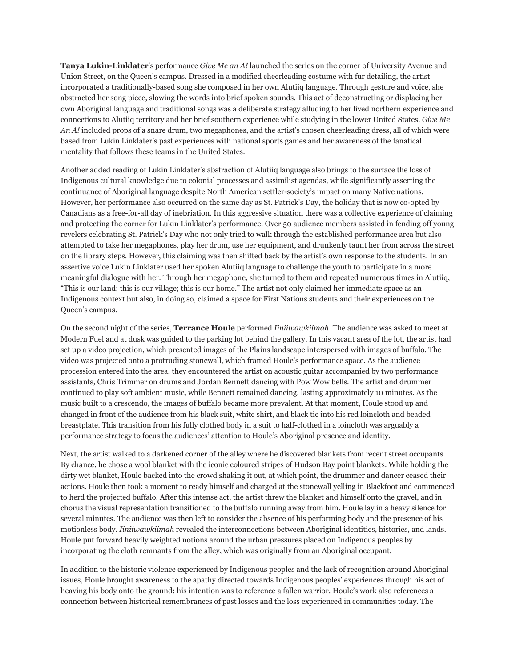**Tanya Lukin-Linklater**'s performance *Give Me an A!* launched the series on the corner of University Avenue and Union Street, on the Queen's campus. Dressed in a modified cheerleading costume with fur detailing, the artist incorporated a traditionally-based song she composed in her own Alutiiq language. Through gesture and voice, she abstracted her song piece, slowing the words into brief spoken sounds. This act of deconstructing or displacing her own Aboriginal language and traditional songs was a deliberate strategy alluding to her lived northern experience and connections to Alutiiq territory and her brief southern experience while studying in the lower United States. *Give Me An A!* included props of a snare drum, two megaphones, and the artist's chosen cheerleading dress, all of which were based from Lukin Linklater's past experiences with national sports games and her awareness of the fanatical mentality that follows these teams in the United States.

Another added reading of Lukin Linklater's abstraction of Alutiiq language also brings to the surface the loss of Indigenous cultural knowledge due to colonial processes and assimilist agendas, while significantly asserting the continuance of Aboriginal language despite North American settler-society's impact on many Native nations. However, her performance also occurred on the same day as St. Patrick's Day, the holiday that is now co-opted by Canadians as a free-for-all day of inebriation. In this aggressive situation there was a collective experience of claiming and protecting the corner for Lukin Linklater's performance. Over 50 audience members assisted in fending off young revelers celebrating St. Patrick's Day who not only tried to walk through the established performance area but also attempted to take her megaphones, play her drum, use her equipment, and drunkenly taunt her from across the street on the library steps. However, this claiming was then shifted back by the artist's own response to the students. In an assertive voice Lukin Linklater used her spoken Alutiiq language to challenge the youth to participate in a more meaningful dialogue with her. Through her megaphone, she turned to them and repeated numerous times in Alutiiq, "This is our land; this is our village; this is our home." The artist not only claimed her immediate space as an Indigenous context but also, in doing so, claimed a space for First Nations students and their experiences on the Queen's campus.

On the second night of the series, **Terrance Houle** performed *Iiniiwawkiimah*. The audience was asked to meet at Modern Fuel and at dusk was guided to the parking lot behind the gallery. In this vacant area of the lot, the artist had set up a video projection, which presented images of the Plains landscape interspersed with images of buffalo. The video was projected onto a protruding stonewall, which framed Houle's performance space. As the audience procession entered into the area, they encountered the artist on acoustic guitar accompanied by two performance assistants, Chris Trimmer on drums and Jordan Bennett dancing with Pow Wow bells. The artist and drummer continued to play soft ambient music, while Bennett remained dancing, lasting approximately 10 minutes. As the music built to a crescendo, the images of buffalo became more prevalent. At that moment, Houle stood up and changed in front of the audience from his black suit, white shirt, and black tie into his red loincloth and beaded breastplate. This transition from his fully clothed body in a suit to half-clothed in a loincloth was arguably a performance strategy to focus the audiences' attention to Houle's Aboriginal presence and identity.

Next, the artist walked to a darkened corner of the alley where he discovered blankets from recent street occupants. By chance, he chose a wool blanket with the iconic coloured stripes of Hudson Bay point blankets. While holding the dirty wet blanket, Houle backed into the crowd shaking it out, at which point, the drummer and dancer ceased their actions. Houle then took a moment to ready himself and charged at the stonewall yelling in Blackfoot and commenced to herd the projected buffalo. After this intense act, the artist threw the blanket and himself onto the gravel, and in chorus the visual representation transitioned to the buffalo running away from him. Houle lay in a heavy silence for several minutes. The audience was then left to consider the absence of his performing body and the presence of his motionless body. *Iiniiwawkiimah* revealed the interconnections between Aboriginal identities, histories, and lands. Houle put forward heavily weighted notions around the urban pressures placed on Indigenous peoples by incorporating the cloth remnants from the alley, which was originally from an Aboriginal occupant.

In addition to the historic violence experienced by Indigenous peoples and the lack of recognition around Aboriginal issues, Houle brought awareness to the apathy directed towards Indigenous peoples' experiences through his act of heaving his body onto the ground: his intention was to reference a fallen warrior. Houle's work also references a connection between historical remembrances of past losses and the loss experienced in communities today. The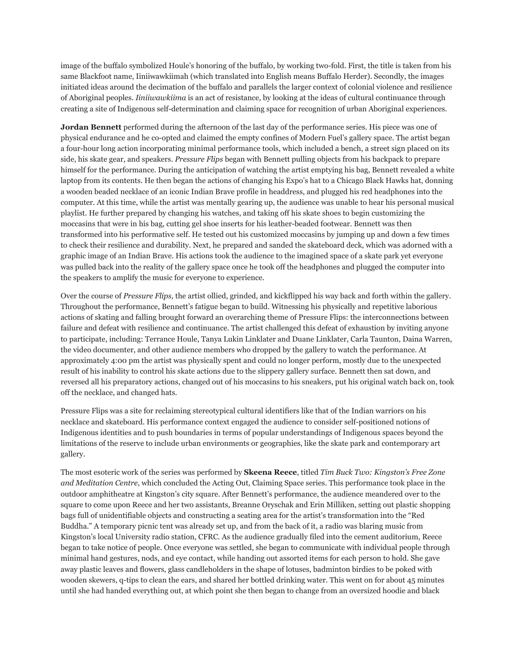image of the buffalo symbolized Houle's honoring of the buffalo, by working two-fold. First, the title is taken from his same Blackfoot name, Iiniiwawkiimah (which translated into English means Buffalo Herder). Secondly, the images initiated ideas around the decimation of the buffalo and parallels the larger context of colonial violence and resilience of Aboriginal peoples. *Iiniiwawkiima* is an act of resistance, by looking at the ideas of cultural continuance through creating a site of Indigenous self-determination and claiming space for recognition of urban Aboriginal experiences.

**Jordan Bennett** performed during the afternoon of the last day of the performance series. His piece was one of physical endurance and he co-opted and claimed the empty confines of Modern Fuel's gallery space. The artist began a four-hour long action incorporating minimal performance tools, which included a bench, a street sign placed on its side, his skate gear, and speakers. *Pressure Flips* began with Bennett pulling objects from his backpack to prepare himself for the performance. During the anticipation of watching the artist emptying his bag, Bennett revealed a white laptop from its contents. He then began the actions of changing his Expo's hat to a Chicago Black Hawks hat, donning a wooden beaded necklace of an iconic Indian Brave profile in headdress, and plugged his red headphones into the computer. At this time, while the artist was mentally gearing up, the audience was unable to hear his personal musical playlist. He further prepared by changing his watches, and taking off his skate shoes to begin customizing the moccasins that were in his bag, cutting gel shoe inserts for his leather-beaded footwear. Bennett was then transformed into his performative self. He tested out his customized moccasins by jumping up and down a few times to check their resilience and durability. Next, he prepared and sanded the skateboard deck, which was adorned with a graphic image of an Indian Brave. His actions took the audience to the imagined space of a skate park yet everyone was pulled back into the reality of the gallery space once he took off the headphones and plugged the computer into the speakers to amplify the music for everyone to experience.

Over the course of *Pressure Flips*, the artist ollied, grinded, and kickflipped his way back and forth within the gallery. Throughout the performance, Bennett's fatigue began to build. Witnessing his physically and repetitive laborious actions of skating and falling brought forward an overarching theme of Pressure Flips: the interconnections between failure and defeat with resilience and continuance. The artist challenged this defeat of exhaustion by inviting anyone to participate, including: Terrance Houle, Tanya Lukin Linklater and Duane Linklater, Carla Taunton, Daina Warren, the video documenter, and other audience members who dropped by the gallery to watch the performance. At approximately 4:00 pm the artist was physically spent and could no longer perform, mostly due to the unexpected result of his inability to control his skate actions due to the slippery gallery surface. Bennett then sat down, and reversed all his preparatory actions, changed out of his moccasins to his sneakers, put his original watch back on, took off the necklace, and changed hats.

Pressure Flips was a site for reclaiming stereotypical cultural identifiers like that of the Indian warriors on his necklace and skateboard. His performance context engaged the audience to consider self-positioned notions of Indigenous identities and to push boundaries in terms of popular understandings of Indigenous spaces beyond the limitations of the reserve to include urban environments or geographies, like the skate park and contemporary art gallery.

The most esoteric work of the series was performed by **Skeena Reece**, titled *Tim Buck Two: Kingston's Free Zone and Meditation Centre*, which concluded the Acting Out, Claiming Space series. This performance took place in the outdoor amphitheatre at Kingston's city square. After Bennett's performance, the audience meandered over to the square to come upon Reece and her two assistants, Breanne Oryschak and Erin Milliken, setting out plastic shopping bags full of unidentifiable objects and constructing a seating area for the artist's transformation into the "Red Buddha." A temporary picnic tent was already set up, and from the back of it, a radio was blaring music from Kingston's local University radio station, CFRC. As the audience gradually filed into the cement auditorium, Reece began to take notice of people. Once everyone was settled, she began to communicate with individual people through minimal hand gestures, nods, and eye contact, while handing out assorted items for each person to hold. She gave away plastic leaves and flowers, glass candleholders in the shape of lotuses, badminton birdies to be poked with wooden skewers, q-tips to clean the ears, and shared her bottled drinking water. This went on for about 45 minutes until she had handed everything out, at which point she then began to change from an oversized hoodie and black